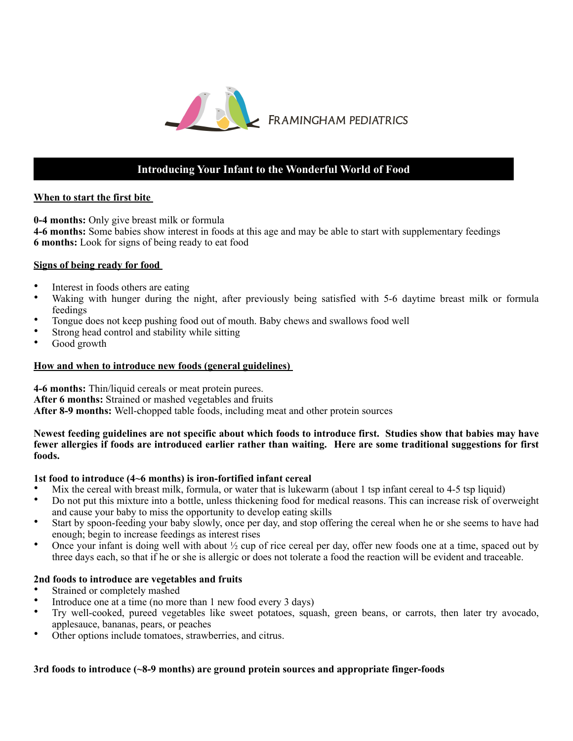

# **Introducing Your Infant to the Wonderful World of Food**

#### **When to start the first bite**

**0-4 months:** Only give breast milk or formula

**4-6 months:** Some babies show interest in foods at this age and may be able to start with supplementary feedings **6 months:** Look for signs of being ready to eat food

## **Signs of being ready for food**

- Interest in foods others are eating<br>• Waking with hunger during the
- Waking with hunger during the night, after previously being satisfied with 5-6 daytime breast milk or formula feedings
- Tongue does not keep pushing food out of mouth. Baby chews and swallows food well
- Strong head control and stability while sitting
- Good growth

### **How and when to introduce new foods (general guidelines)**

**4-6 months:** Thin/liquid cereals or meat protein purees. **After 6 months:** Strained or mashed vegetables and fruits **After 8-9 months:** Well-chopped table foods, including meat and other protein sources

#### **Newest feeding guidelines are not specific about which foods to introduce first. Studies show that babies may have fewer allergies if foods are introduced earlier rather than waiting. Here are some traditional suggestions for first foods.**

## **1st food to introduce (4~6 months) is iron-fortified infant cereal**

- Mix the cereal with breast milk, formula, or water that is lukewarm (about 1 tsp infant cereal to 4-5 tsp liquid)
- Do not put this mixture into a bottle, unless thickening food for medical reasons. This can increase risk of overweight and cause your baby to miss the opportunity to develop eating skills
- Start by spoon-feeding your baby slowly, once per day, and stop offering the cereal when he or she seems to have had enough; begin to increase feedings as interest rises
- Once your infant is doing well with about  $\frac{1}{2}$  cup of rice cereal per day, offer new foods one at a time, spaced out by three days each, so that if he or she is allergic or does not tolerate a food the reaction will be evident and traceable.

#### **2nd foods to introduce are vegetables and fruits**

- Strained or completely mashed
- Introduce one at a time (no more than 1 new food every 3 days)
- Try well-cooked, pureed vegetables like sweet potatoes, squash, green beans, or carrots, then later try avocado, applesauce, bananas, pears, or peaches
- Other options include tomatoes, strawberries, and citrus.

## **3rd foods to introduce (~8-9 months) are ground protein sources and appropriate finger-foods**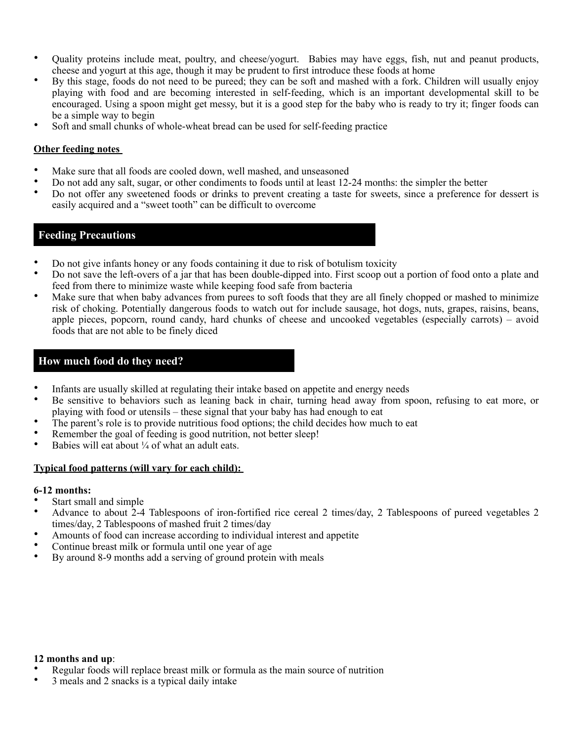- Quality proteins include meat, poultry, and cheese/yogurt. Babies may have eggs, fish, nut and peanut products, cheese and yogurt at this age, though it may be prudent to first introduce these foods at home
- By this stage, foods do not need to be pureed; they can be soft and mashed with a fork. Children will usually enjoy playing with food and are becoming interested in self-feeding, which is an important developmental skill to be encouraged. Using a spoon might get messy, but it is a good step for the baby who is ready to try it; finger foods can be a simple way to begin
- Soft and small chunks of whole-wheat bread can be used for self-feeding practice

#### **Other feeding notes**

- Make sure that all foods are cooled down, well mashed, and unseasoned
- Do not add any salt, sugar, or other condiments to foods until at least 12-24 months: the simpler the better
- Do not offer any sweetened foods or drinks to prevent creating a taste for sweets, since a preference for dessert is easily acquired and a "sweet tooth" can be difficult to overcome

### **Feeding Precautions**

- Do not give infants honey or any foods containing it due to risk of botulism toxicity
- Do not save the left-overs of a jar that has been double-dipped into. First scoop out a portion of food onto a plate and feed from there to minimize waste while keeping food safe from bacteria
- Make sure that when baby advances from purees to soft foods that they are all finely chopped or mashed to minimize risk of choking. Potentially dangerous foods to watch out for include sausage, hot dogs, nuts, grapes, raisins, beans, apple pieces, popcorn, round candy, hard chunks of cheese and uncooked vegetables (especially carrots) – avoid foods that are not able to be finely diced

## **How much food do they need?**

- Infants are usually skilled at regulating their intake based on appetite and energy needs
- Be sensitive to behaviors such as leaning back in chair, turning head away from spoon, refusing to eat more, or playing with food or utensils – these signal that your baby has had enough to eat
- The parent's role is to provide nutritious food options; the child decides how much to eat
- Remember the goal of feeding is good nutrition, not better sleep!
- Babies will eat about  $\frac{1}{4}$  of what an adult eats.

#### **Typical food patterns (will vary for each child):**

#### **6-12 months:**

- Start small and simple
- Advance to about 2-4 Tablespoons of iron-fortified rice cereal 2 times/day, 2 Tablespoons of pureed vegetables 2 times/day, 2 Tablespoons of mashed fruit 2 times/day
- Amounts of food can increase according to individual interest and appetite
- Continue breast milk or formula until one year of age
- By around 8-9 months add a serving of ground protein with meals

#### **12 months and up**:

- Regular foods will replace breast milk or formula as the main source of nutrition
- 3 meals and 2 snacks is a typical daily intake